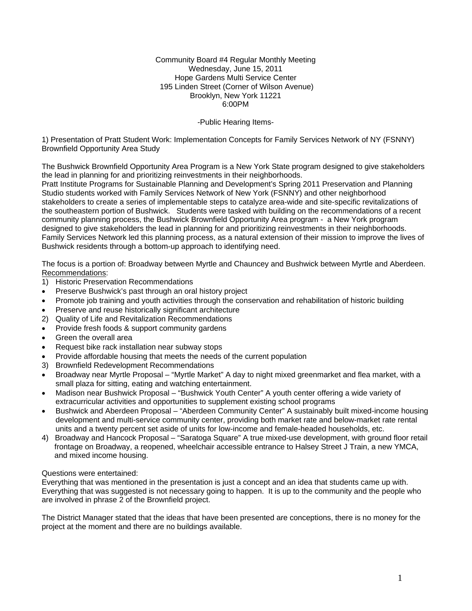Community Board #4 Regular Monthly Meeting Wednesday, June 15, 2011 Hope Gardens Multi Service Center 195 Linden Street (Corner of Wilson Avenue) Brooklyn, New York 11221 6:00PM

## -Public Hearing Items-

1) Presentation of Pratt Student Work: Implementation Concepts for Family Services Network of NY (FSNNY) Brownfield Opportunity Area Study

The Bushwick Brownfield Opportunity Area Program is a New York State program designed to give stakeholders the lead in planning for and prioritizing reinvestments in their neighborhoods.

Pratt Institute Programs for Sustainable Planning and Development's Spring 2011 Preservation and Planning Studio students worked with Family Services Network of New York (FSNNY) and other neighborhood stakeholders to create a series of implementable steps to catalyze area-wide and site-specific revitalizations of the southeastern portion of Bushwick. Students were tasked with building on the recommendations of a recent community planning process, the Bushwick Brownfield Opportunity Area program - a New York program designed to give stakeholders the lead in planning for and prioritizing reinvestments in their neighborhoods. Family Services Network led this planning process, as a natural extension of their mission to improve the lives of Bushwick residents through a bottom-up approach to identifying need.

The focus is a portion of: Broadway between Myrtle and Chauncey and Bushwick between Myrtle and Aberdeen. Recommendations:

- 1) Historic Preservation Recommendations
- Preserve Bushwick's past through an oral history project
- Promote job training and youth activities through the conservation and rehabilitation of historic building
- Preserve and reuse historically significant architecture
- 2) Quality of Life and Revitalization Recommendations
- Provide fresh foods & support community gardens
- Green the overall area
- Request bike rack installation near subway stops
- Provide affordable housing that meets the needs of the current population
- 3) Brownfield Redevelopment Recommendations
- Broadway near Myrtle Proposal "Myrtle Market" A day to night mixed greenmarket and flea market, with a small plaza for sitting, eating and watching entertainment.
- Madison near Bushwick Proposal "Bushwick Youth Center" A youth center offering a wide variety of extracurricular activities and opportunities to supplement existing school programs
- Bushwick and Aberdeen Proposal "Aberdeen Community Center" A sustainably built mixed-income housing development and multi-service community center, providing both market rate and below-market rate rental units and a twenty percent set aside of units for low-income and female-headed households, etc.
- 4) Broadway and Hancock Proposal "Saratoga Square" A true mixed-use development, with ground floor retail frontage on Broadway, a reopened, wheelchair accessible entrance to Halsey Street J Train, a new YMCA, and mixed income housing.

### Questions were entertained:

Everything that was mentioned in the presentation is just a concept and an idea that students came up with. Everything that was suggested is not necessary going to happen. It is up to the community and the people who are involved in phrase 2 of the Brownfield project.

The District Manager stated that the ideas that have been presented are conceptions, there is no money for the project at the moment and there are no buildings available.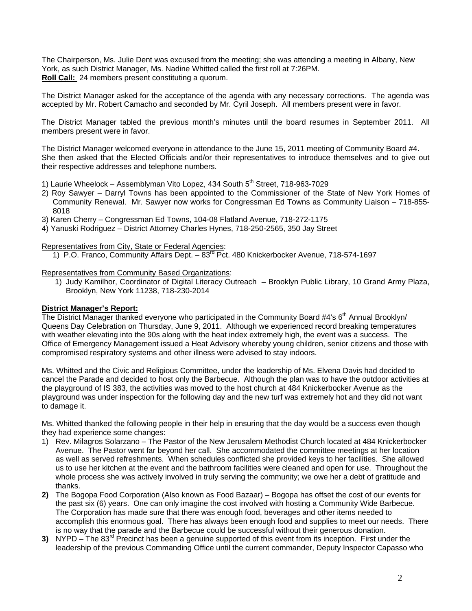The Chairperson, Ms. Julie Dent was excused from the meeting; she was attending a meeting in Albany, New York, as such District Manager, Ms. Nadine Whitted called the first roll at 7:26PM. **Roll Call:** 24 members present constituting a quorum.

The District Manager asked for the acceptance of the agenda with any necessary corrections. The agenda was accepted by Mr. Robert Camacho and seconded by Mr. Cyril Joseph. All members present were in favor.

The District Manager tabled the previous month's minutes until the board resumes in September 2011. All members present were in favor.

The District Manager welcomed everyone in attendance to the June 15, 2011 meeting of Community Board #4. She then asked that the Elected Officials and/or their representatives to introduce themselves and to give out their respective addresses and telephone numbers.

- 1) Laurie Wheelock Assemblyman Vito Lopez, 434 South  $5<sup>th</sup>$  Street, 718-963-7029
- 2) Roy Sawyer Darryl Towns has been appointed to the Commissioner of the State of New York Homes of Community Renewal. Mr. Sawyer now works for Congressman Ed Towns as Community Liaison – 718-855- 8018
- 3) Karen Cherry Congressman Ed Towns, 104-08 Flatland Avenue, 718-272-1175
- 4) Yanuski Rodriguez District Attorney Charles Hynes, 718-250-2565, 350 Jay Street

## Representatives from City, State or Federal Agencies:

1) P.O. Franco, Community Affairs Dept.  $-83<sup>rd</sup>$  Pct. 480 Knickerbocker Avenue, 718-574-1697

#### Representatives from Community Based Organizations:

1) Judy Kamilhor, Coordinator of Digital Literacy Outreach – Brooklyn Public Library, 10 Grand Army Plaza, Brooklyn, New York 11238, 718-230-2014

### **District Manager's Report:**

The District Manager thanked everyone who participated in the Community Board #4's  $6<sup>th</sup>$  Annual Brooklyn/ Queens Day Celebration on Thursday, June 9, 2011. Although we experienced record breaking temperatures with weather elevating into the 90s along with the heat index extremely high, the event was a success. The Office of Emergency Management issued a Heat Advisory whereby young children, senior citizens and those with compromised respiratory systems and other illness were advised to stay indoors.

Ms. Whitted and the Civic and Religious Committee, under the leadership of Ms. Elvena Davis had decided to cancel the Parade and decided to host only the Barbecue. Although the plan was to have the outdoor activities at the playground of IS 383, the activities was moved to the host church at 484 Knickerbocker Avenue as the playground was under inspection for the following day and the new turf was extremely hot and they did not want to damage it.

Ms. Whitted thanked the following people in their help in ensuring that the day would be a success even though they had experience some changes:

- 1) Rev. Milagros Solarzano The Pastor of the New Jerusalem Methodist Church located at 484 Knickerbocker Avenue. The Pastor went far beyond her call. She accommodated the committee meetings at her location as well as served refreshments. When schedules conflicted she provided keys to her facilities. She allowed us to use her kitchen at the event and the bathroom facilities were cleaned and open for use. Throughout the whole process she was actively involved in truly serving the community; we owe her a debt of gratitude and thanks.
- **2)** The Bogopa Food Corporation (Also known as Food Bazaar) Bogopa has offset the cost of our events for the past six (6) years. One can only imagine the cost involved with hosting a Community Wide Barbecue. The Corporation has made sure that there was enough food, beverages and other items needed to accomplish this enormous goal. There has always been enough food and supplies to meet our needs. There is no way that the parade and the Barbecue could be successful without their generous donation.
- **3)** NYPD The 83<sup>rd</sup> Precinct has been a genuine supported of this event from its inception. First under the leadership of the previous Commanding Office until the current commander, Deputy Inspector Capasso who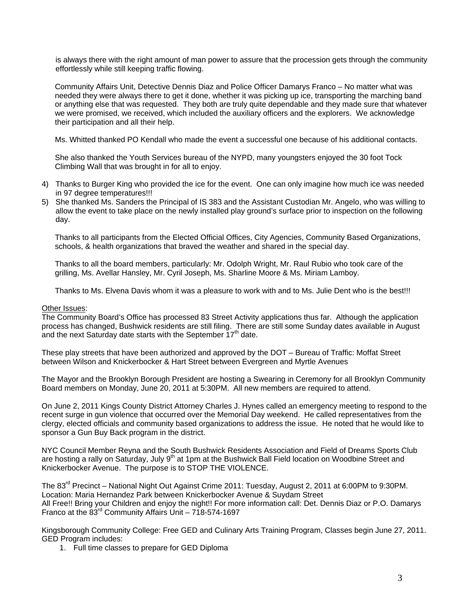is always there with the right amount of man power to assure that the procession gets through the community effortlessly while still keeping traffic flowing.

Community Affairs Unit, Detective Dennis Diaz and Police Officer Damarys Franco – No matter what was needed they were always there to get it done, whether it was picking up ice, transporting the marching band or anything else that was requested. They both are truly quite dependable and they made sure that whatever we were promised, we received, which included the auxiliary officers and the explorers. We acknowledge their participation and all their help.

Ms. Whitted thanked PO Kendall who made the event a successful one because of his additional contacts.

She also thanked the Youth Services bureau of the NYPD, many youngsters enjoyed the 30 foot Tock Climbing Wall that was brought in for all to enjoy.

- 4) Thanks to Burger King who provided the ice for the event. One can only imagine how much ice was needed in 97 degree temperatures!!!
- 5) She thanked Ms. Sanders the Principal of IS 383 and the Assistant Custodian Mr. Angelo, who was willing to allow the event to take place on the newly installed play ground's surface prior to inspection on the following day.

Thanks to all participants from the Elected Official Offices, City Agencies, Community Based Organizations, schools, & health organizations that braved the weather and shared in the special day.

Thanks to all the board members, particularly: Mr. Odolph Wright, Mr. Raul Rubio who took care of the grilling, Ms. Avellar Hansley, Mr. Cyril Joseph, Ms. Sharline Moore & Ms. Miriam Lamboy.

Thanks to Ms. Elvena Davis whom it was a pleasure to work with and to Ms. Julie Dent who is the best!!!

#### Other Issues:

The Community Board's Office has processed 83 Street Activity applications thus far. Although the application process has changed, Bushwick residents are still filing. There are still some Sunday dates available in August and the next Saturday date starts with the September  $17<sup>th</sup>$  date.

These play streets that have been authorized and approved by the DOT – Bureau of Traffic: Moffat Street between Wilson and Knickerbocker & Hart Street between Evergreen and Myrtle Avenues

The Mayor and the Brooklyn Borough President are hosting a Swearing in Ceremony for all Brooklyn Community Board members on Monday, June 20, 2011 at 5:30PM. All new members are required to attend.

On June 2, 2011 Kings County District Attorney Charles J. Hynes called an emergency meeting to respond to the recent surge in gun violence that occurred over the Memorial Day weekend. He called representatives from the clergy, elected officials and community based organizations to address the issue. He noted that he would like to sponsor a Gun Buy Back program in the district.

NYC Council Member Reyna and the South Bushwick Residents Association and Field of Dreams Sports Club are hosting a rally on Saturday, July 9<sup>th</sup> at 1pm at the Bushwick Ball Field location on Woodbine Street and Knickerbocker Avenue. The purpose is to STOP THE VIOLENCE.

The 83rd Precinct – National Night Out Against Crime 2011: Tuesday, August 2, 2011 at 6:00PM to 9:30PM. Location: Maria Hernandez Park between Knickerbocker Avenue & Suydam Street All Free!! Bring your Children and enjoy the night!! For more information call: Det. Dennis Diaz or P.O. Damarys Franco at the 83rd Community Affairs Unit – 718-574-1697

Kingsborough Community College: Free GED and Culinary Arts Training Program, Classes begin June 27, 2011. GED Program includes:

1. Full time classes to prepare for GED Diploma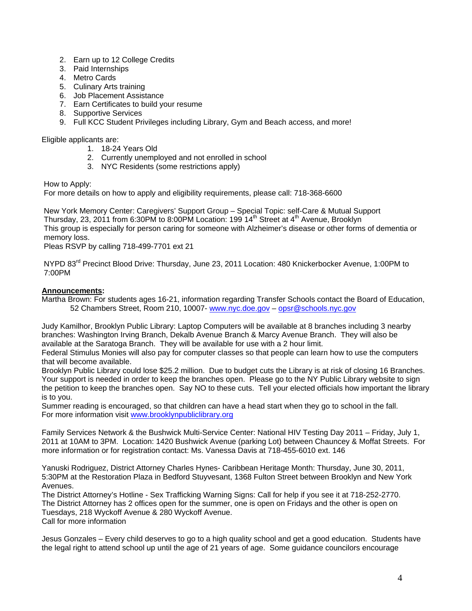- 2. Earn up to 12 College Credits
- 3. Paid Internships
- 4. Metro Cards
- 5. Culinary Arts training
- 6. Job Placement Assistance
- 7. Earn Certificates to build your resume
- 8. Supportive Services
- 9. Full KCC Student Privileges including Library, Gym and Beach access, and more!

# Eligible applicants are:

- 1. 18-24 Years Old
- 2. Currently unemployed and not enrolled in school
- 3. NYC Residents (some restrictions apply)

How to Apply:

For more details on how to apply and eligibility requirements, please call: 718-368-6600

New York Memory Center: Caregivers' Support Group – Special Topic: self-Care & Mutual Support Thursday, 23, 2011 from 6:30PM to 8:00PM Location: 199 14<sup>th</sup> Street at 4<sup>th</sup> Avenue, Brooklyn This group is especially for person caring for someone with Alzheimer's disease or other forms of dementia or memory loss.

Pleas RSVP by calling 718-499-7701 ext 21

NYPD 83<sup>rd</sup> Precinct Blood Drive: Thursday, June 23, 2011 Location: 480 Knickerbocker Avenue, 1:00PM to 7:00PM

# **Announcements:**

Martha Brown: For students ages 16-21, information regarding Transfer Schools contact the Board of Education, 52 Chambers Street, Room 210, 10007- www.nyc.doe.gov – opsr@schools.nyc.gov

Judy Kamilhor, Brooklyn Public Library: Laptop Computers will be available at 8 branches including 3 nearby branches: Washington Irving Branch, Dekalb Avenue Branch & Marcy Avenue Branch. They will also be available at the Saratoga Branch. They will be available for use with a 2 hour limit.

Federal Stimulus Monies will also pay for computer classes so that people can learn how to use the computers that will become available.

Brooklyn Public Library could lose \$25.2 million. Due to budget cuts the Library is at risk of closing 16 Branches. Your support is needed in order to keep the branches open. Please go to the NY Public Library website to sign the petition to keep the branches open. Say NO to these cuts. Tell your elected officials how important the library is to you.

Summer reading is encouraged, so that children can have a head start when they go to school in the fall. For more information visit www.brooklynpubliclibrary.org

Family Services Network & the Bushwick Multi-Service Center: National HIV Testing Day 2011 – Friday, July 1, 2011 at 10AM to 3PM. Location: 1420 Bushwick Avenue (parking Lot) between Chauncey & Moffat Streets. For more information or for registration contact: Ms. Vanessa Davis at 718-455-6010 ext. 146

Yanuski Rodriguez, District Attorney Charles Hynes- Caribbean Heritage Month: Thursday, June 30, 2011, 5:30PM at the Restoration Plaza in Bedford Stuyvesant, 1368 Fulton Street between Brooklyn and New York Avenues.

The District Attorney's Hotline - Sex Trafficking Warning Signs: Call for help if you see it at 718-252-2770. The District Attorney has 2 offices open for the summer, one is open on Fridays and the other is open on Tuesdays, 218 Wyckoff Avenue & 280 Wyckoff Avenue. Call for more information

Jesus Gonzales – Every child deserves to go to a high quality school and get a good education. Students have the legal right to attend school up until the age of 21 years of age. Some guidance councilors encourage